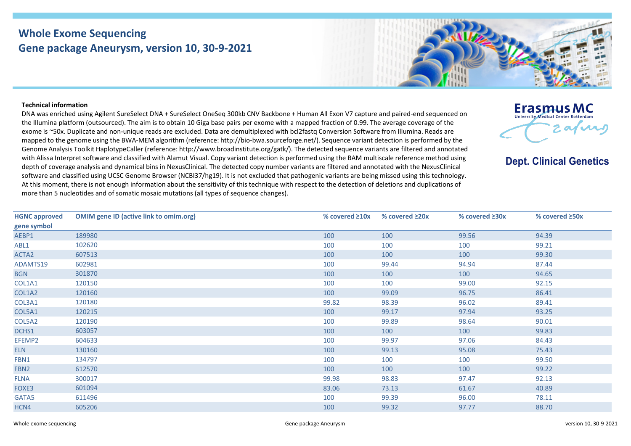## **Whole Exome Sequencing Gene package Aneurysm, version 10, 30-9-2021**



## **Technical information**

DNA was enriched using Agilent SureSelect DNA + SureSelect OneSeq 300kb CNV Backbone + Human All Exon V7 capture and paired-end sequenced on the Illumina platform (outsourced). The aim is to obtain 10 Giga base pairs per exome with a mapped fraction of 0.99. The average coverage of the exome is ~50x. Duplicate and non-unique reads are excluded. Data are demultiplexed with bcl2fastq Conversion Software from Illumina. Reads are mapped to the genome using the BWA-MEM algorithm (reference: http://bio-bwa.sourceforge.net/). Sequence variant detection is performed by the Genome Analysis Toolkit HaplotypeCaller (reference: http://www.broadinstitute.org/gatk/). The detected sequence variants are filtered and annotated with Alissa Interpret software and classified with Alamut Visual. Copy variant detection is performed using the BAM multiscale reference method using depth of coverage analysis and dynamical bins in NexusClinical. The detected copy number variants are filtered and annotated with the NexusClinical software and classified using UCSC Genome Browser (NCBI37/hg19). It is not excluded that pathogenic variants are being missed using this technology. At this moment, there is not enough information about the sensitivity of this technique with respect to the detection of deletions and duplications of more than 5 nucleotides and of somatic mosaic mutations (all types of sequence changes).



**Dept. Clinical Genetics** 

| <b>HGNC approved</b> | <b>OMIM gene ID (active link to omim.org)</b> | % covered $\geq 10x$ | % covered $\geq 20x$ | % covered $\geq 30x$ | % covered ≥50x |
|----------------------|-----------------------------------------------|----------------------|----------------------|----------------------|----------------|
| gene symbol          |                                               |                      |                      |                      |                |
| AEBP1                | 189980                                        | 100                  | 100                  | 99.56                | 94.39          |
| ABL1                 | 102620                                        | 100                  | 100                  | 100                  | 99.21          |
| ACTA2                | 607513                                        | 100                  | 100                  | 100                  | 99.30          |
| ADAMTS19             | 602981                                        | 100                  | 99.44                | 94.94                | 87.44          |
| <b>BGN</b>           | 301870                                        | 100                  | 100                  | 100                  | 94.65          |
| COL1A1               | 120150                                        | 100                  | 100                  | 99.00                | 92.15          |
| COL1A2               | 120160                                        | 100                  | 99.09                | 96.75                | 86.41          |
| COL3A1               | 120180                                        | 99.82                | 98.39                | 96.02                | 89.41          |
| COL5A1               | 120215                                        | 100                  | 99.17                | 97.94                | 93.25          |
| COL5A2               | 120190                                        | 100                  | 99.89                | 98.64                | 90.01          |
| DCHS1                | 603057                                        | 100                  | 100                  | 100                  | 99.83          |
| EFEMP2               | 604633                                        | 100                  | 99.97                | 97.06                | 84.43          |
| <b>ELN</b>           | 130160                                        | 100                  | 99.13                | 95.08                | 75.43          |
| FBN1                 | 134797                                        | 100                  | 100                  | 100                  | 99.50          |
| FBN <sub>2</sub>     | 612570                                        | 100                  | 100                  | 100                  | 99.22          |
| <b>FLNA</b>          | 300017                                        | 99.98                | 98.83                | 97.47                | 92.13          |
| FOXE3                | 601094                                        | 83.06                | 73.13                | 61.67                | 40.89          |
| GATA5                | 611496                                        | 100                  | 99.39                | 96.00                | 78.11          |
| HCN4                 | 605206                                        | 100                  | 99.32                | 97.77                | 88.70          |